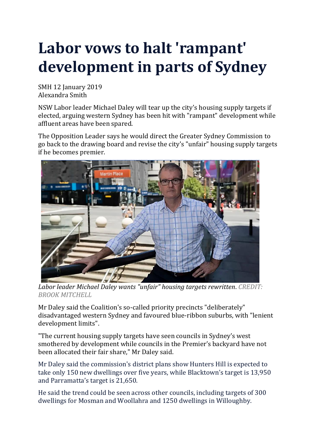## **Labor vows to halt 'rampant' development in parts of Sydney**

SMH 12 January 2019 Alexandra Smith

NSW Labor leader Michael Daley will tear up the city's housing supply targets if elected, arguing western Sydney has been hit with "rampant" development while affluent areas have been spared.

The Opposition Leader says he would direct the Greater Sydney Commission to go back to the drawing board and revise the city's "unfair" housing supply targets if he becomes premier[.](javascript:void(0);)



*Labor leader Michael Daley wants "unfair" housing targets rewritten*. *CREDIT: BROOK MITCHELL*

Mr Daley said the Coalition's so-called priority precincts "deliberately" disadvantaged western Sydney and favoured blue-ribbon suburbs, with "lenient development limits".

"The current housing supply targets have seen councils in Sydney's west smothered by development while councils in the Premier's backyard have not been allocated their fair share," Mr Daley said.

Mr Daley said the commission's district plans show Hunters Hill is expected to take only 150 new dwellings over five years, while Blacktown's target is 13,950 and Parramatta's target is 21,650.

He said the trend could be seen across other councils, including targets of 300 dwellings for Mosman and Woollahra and 1250 dwellings in Willoughby.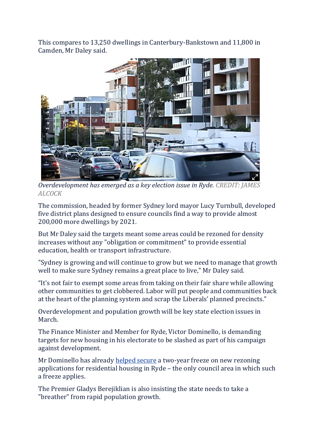This compares to 13,250 dwellings in Canterbury-Bankstown and 11,800 in Camden, Mr Daley said.



*Overdevelopment has emerged as a key election issue in Ryde. CREDIT: JAMES ALCOCK*

The commission, headed by former Sydney lord mayor Lucy Turnbull, developed five district plans designed to ensure councils find a way to provide almost 200,000 more dwellings by 2021.

But Mr Daley said the targets meant some areas could be rezoned for density increases without any "obligation or commitment" to provide essential education, health or transport infrastructure.

"Sydney is growing and will continue to grow but we need to manage that growth well to make sure Sydney remains a great place to live," Mr Daley said.

"It's not fair to exempt some areas from taking on their fair share while allowing other communities to get clobbered. Labor will put people and communities back at the heart of the planning system and scrap the Liberals' planned precincts."

Overdevelopment and population growth will be key state election issues in March.

The Finance Minister and Member for Ryde, Victor Dominello, is demanding targets for new housing in his electorate to be slashed as part of his campaign against development.

Mr Dominello has already [helped](https://www.smh.com.au/national/nsw/time-to-take-a-breath-government-hits-brake-on-sydney-housing-hotspot-20180515-p4zfhc.html) secure a two-year freeze on new rezoning applications for residential housing in Ryde – the only council area in which such a freeze applies.

The Premier Gladys Berejiklian is also insisting the state needs to take a "breather" from rapid population growth.